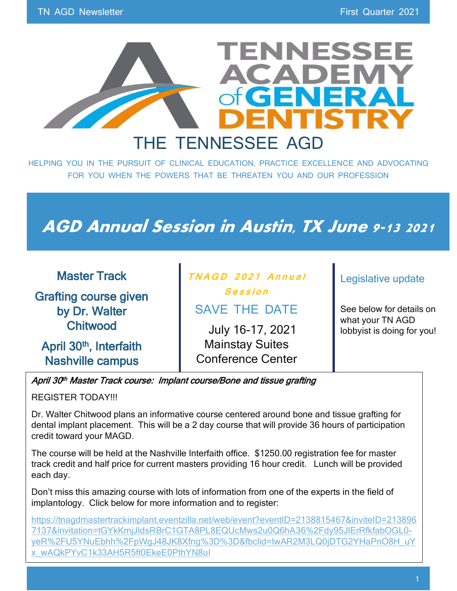

HELPING YOU IN THE PURSUIT OF CLINICAL EDUCATION, PRACTICE EXCELLENCE AND ADVOCATING FOR YOU WHEN THE POWERS THAT BE THREATEN YOU AND OUR PROFESSION

# **AGD Annual Session in Austin, TX June 9-13 2021**

| <b>Master Track</b>                 | TNAGD 2021 Annual        | Legislative update                             |
|-------------------------------------|--------------------------|------------------------------------------------|
| <b>Grafting course given</b>        | Session                  |                                                |
| by Dr. Walter                       | <b>SAVE THE DATE</b>     | See below for details on                       |
| <b>Chitwood</b>                     | July 16-17, 2021         | what your TN AGD<br>lobbyist is doing for you! |
| April 30 <sup>th</sup> , Interfaith | <b>Mainstay Suites</b>   |                                                |
| <b>Nashville campus</b>             | <b>Conference Center</b> |                                                |

### April 30<sup>th</sup> Master Track course: Implant course/Bone and tissue grafting

REGISTER TODAY!!!

Dr. Walter Chitwood plans an informative course centered around bone and tissue grafting for dental implant placement. This will be a 2 day course that will provide 36 hours of participation credit toward your MAGD.

The course will be held at the Nashville Interfaith office. \$1250.00 registration fee for master track credit and half price for current masters providing 16 hour credit. Lunch will be provided each day.

Don't miss this amazing course with lots of information from one of the experts in the field of implantology. Click below for more information and to register:

[https://tnagdmastertrackimplant.eventzilla.net/web/event?eventID=2138815467&inviteID=213896](https://tnagdmastertrackimplant.eventzilla.net/web/event?eventID=2138815467&inviteID=2138967137&invitation=tGYkKmjJldsRBrC1GTA8PL8EQUcMws2u0Q6hA36%2Fdy95JlErRfkfabOGL0-yeR%2FU5YNuEbhh%2FpWgJ48JK8Xfng%3D%3D&fbclid=IwAR2M3LQ0jDTG2YHaPnO8H_uYx_wAQkPYvC1k33AH5R5ft0EkeE0PthYN8uI) [7137&invitation=tGYkKmjJldsRBrC1GTA8PL8EQUcMws2u0Q6hA36%2Fdy95JlErRfkfabOGL0](https://tnagdmastertrackimplant.eventzilla.net/web/event?eventID=2138815467&inviteID=2138967137&invitation=tGYkKmjJldsRBrC1GTA8PL8EQUcMws2u0Q6hA36%2Fdy95JlErRfkfabOGL0-yeR%2FU5YNuEbhh%2FpWgJ48JK8Xfng%3D%3D&fbclid=IwAR2M3LQ0jDTG2YHaPnO8H_uYx_wAQkPYvC1k33AH5R5ft0EkeE0PthYN8uI) [yeR%2FU5YNuEbhh%2FpWgJ48JK8Xfng%3D%3D&fbclid=IwAR2M3LQ0jDTG2YHaPnO8H\\_uY](https://tnagdmastertrackimplant.eventzilla.net/web/event?eventID=2138815467&inviteID=2138967137&invitation=tGYkKmjJldsRBrC1GTA8PL8EQUcMws2u0Q6hA36%2Fdy95JlErRfkfabOGL0-yeR%2FU5YNuEbhh%2FpWgJ48JK8Xfng%3D%3D&fbclid=IwAR2M3LQ0jDTG2YHaPnO8H_uYx_wAQkPYvC1k33AH5R5ft0EkeE0PthYN8uI) [x\\_wAQkPYvC1k33AH5R5ft0EkeE0PthYN8uI](https://tnagdmastertrackimplant.eventzilla.net/web/event?eventID=2138815467&inviteID=2138967137&invitation=tGYkKmjJldsRBrC1GTA8PL8EQUcMws2u0Q6hA36%2Fdy95JlErRfkfabOGL0-yeR%2FU5YNuEbhh%2FpWgJ48JK8Xfng%3D%3D&fbclid=IwAR2M3LQ0jDTG2YHaPnO8H_uYx_wAQkPYvC1k33AH5R5ft0EkeE0PthYN8uI)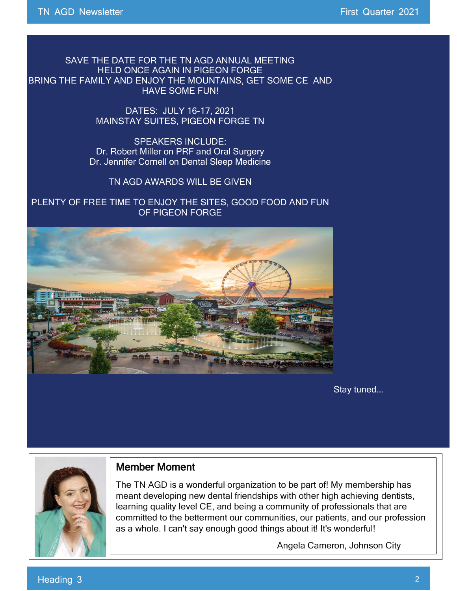SAVE THE DATE FOR THE TN AGD ANNUAL MEETING HELD ONCE AGAIN IN PIGEON FORGE BRING THE FAMILY AND ENJOY THE MOUNTAINS, GET SOME CE AND HAVE SOME FUN!

> DATES: JULY 16-17, 2021 MAINSTAY SUITES, PIGEON FORGE TN

SPEAKERS INCLUDE: Dr. Robert Miller on PRF and Oral Surgery Dr. Jennifer Cornell on Dental Sleep Medicine

TN AGD AWARDS WILL BE GIVEN

PLENTY OF FREE TIME TO ENJOY THE SITES, GOOD FOOD AND FUN OF PIGEON FORGE



Stay tuned….



### Member Moment

The TN AGD is a wonderful organization to be part of! My membership has meant developing new dental friendships with other high achieving dentists, learning quality level CE, and being a community of professionals that are committed to the betterment our communities, our patients, and our profession as a whole. I can't say enough good things about it! It's wonderful!

Angela Cameron, Johnson City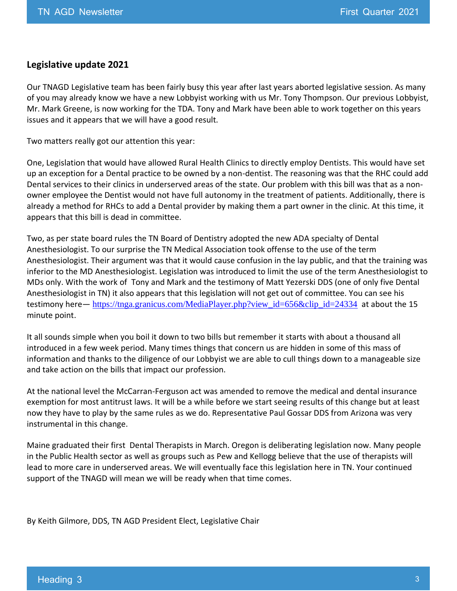#### **Legislative update 2021**

Our TNAGD Legislative team has been fairly busy this year after last years aborted legislative session. As many of you may already know we have a new Lobbyist working with us Mr. Tony Thompson. Our previous Lobbyist, Mr. Mark Greene, is now working for the TDA. Tony and Mark have been able to work together on this years issues and it appears that we will have a good result.

Two matters really got our attention this year:

One, Legislation that would have allowed Rural Health Clinics to directly employ Dentists. This would have set up an exception for a Dental practice to be owned by a non-dentist. The reasoning was that the RHC could add Dental services to their clinics in underserved areas of the state. Our problem with this bill was that as a nonowner employee the Dentist would not have full autonomy in the treatment of patients. Additionally, there is already a method for RHCs to add a Dental provider by making them a part owner in the clinic. At this time, it appears that this bill is dead in committee.

Two, as per state board rules the TN Board of Dentistry adopted the new ADA specialty of Dental Anesthesiologist. To our surprise the TN Medical Association took offense to the use of the term Anesthesiologist. Their argument was that it would cause confusion in the lay public, and that the training was inferior to the MD Anesthesiologist. Legislation was introduced to limit the use of the term Anesthesiologist to MDs only. With the work of Tony and Mark and the testimony of Matt Yezerski DDS (one of only five Dental Anesthesiologist in TN) it also appears that this legislation will not get out of committee. You can see his testimony here— [https://tnga.granicus.com/MediaPlayer.php?view\\_id=656&clip\\_id=24334](https://tnga.granicus.com/MediaPlayer.php?view_id=656&clip_id=24334) at about the 15 minute point.

It all sounds simple when you boil it down to two bills but remember it starts with about a thousand all introduced in a few week period. Many times things that concern us are hidden in some of this mass of information and thanks to the diligence of our Lobbyist we are able to cull things down to a manageable size and take action on the bills that impact our profession.

At the national level the McCarran-Ferguson act was amended to remove the medical and dental insurance exemption for most antitrust laws. It will be a while before we start seeing results of this change but at least now they have to play by the same rules as we do. Representative Paul Gossar DDS from Arizona was very instrumental in this change.

Maine graduated their first Dental Therapists in March. Oregon is deliberating legislation now. Many people in the Public Health sector as well as groups such as Pew and Kellogg believe that the use of therapists will lead to more care in underserved areas. We will eventually face this legislation here in TN. Your continued support of the TNAGD will mean we will be ready when that time comes.

By Keith Gilmore, DDS, TN AGD President Elect, Legislative Chair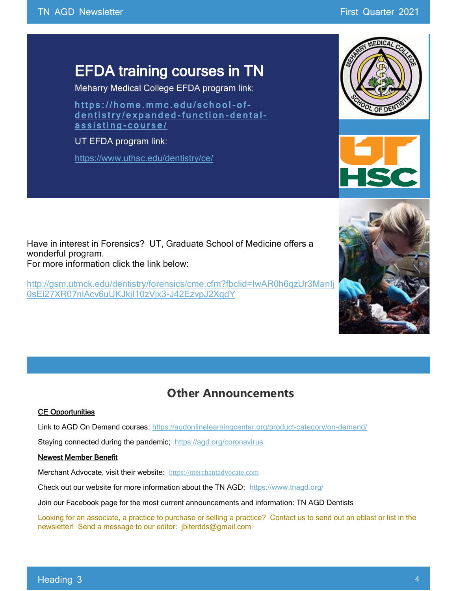# EFDA training courses in TN

Meharry Medical College EFDA program link:

https://home.mmc.edu/school-ofdentistry/expanded-function-dentalassisting-course/

UT EFDA program link:

<https://www.uthsc.edu/dentistry/ce/>

Have in interest in Forensics? UT, Graduate School of Medicine offers a wonderful program. For more information click the link below:

[http://gsm.utmck.edu/dentistry/forensics/cme.cfm?fbclid=IwAR0h6qzUr3ManIj](http://gsm.utmck.edu/dentistry/forensics/cme.cfm?fbclid=IwAR0h6qzUr3ManIj0sEi27XR07niAcv6uUKJkjI10zVjx3-J42EzvpJ2XqdY) [0sEi27XR07niAcv6uUKJkjI10zVjx3-J42EzvpJ2XqdY](http://gsm.utmck.edu/dentistry/forensics/cme.cfm?fbclid=IwAR0h6qzUr3ManIj0sEi27XR07niAcv6uUKJkjI10zVjx3-J42EzvpJ2XqdY)



#### CE Opportunities

Link to AGD On Demand courses:<https://agdonlinelearningcenter.org/product-category/on-demand/>

Staying connected during the pandemic; <https://agd.org/coronavirus>

### Newest Member Benefit

Merchant Advocate, visit their website: [https://merchantadvocate.com](https://l.facebook.com/l.php?u=https%3A%2F%2Fmerchantadvocate.com%2F%3Ffbclid%3DIwAR1cbgh_5SEUxSPAZeZiuAHF5tfMUAuADFYniitfUNeXulJXpSGlS_KHW6A&h=AT01RR3wew3wIR5r0xQ_Z97XcNcs-dVVWLC1-mOiv00UHm3IT0utyczdbh5esOy35ukSqQ2jaMWIr_ZRVRcrnYlSHSzXzV4D7bFCb75as2Efx84UOBs3tYvaLyZnCBn61g&__tn__=-UK-R&c%5b0%5d=AT2PLKqQIy42gDlo9r6Qa5FGAVG_g9QBXmoUtjmQi3krZ0zEbWxH5Q-ihKri1A-wt32lzH7XxRw79PiqINke_t4_puih-YPsCuC_k1EQBo3d5HOLlQmBbR9vntgtDVyVjcDDesabJ6UVOBikNrp5IfLs0OKFYRVAFx75t1iM_RAhQJ2_NGOxnoyBhZktAHnzB65S0-qG5CaQkirN)

Check out our website for more information about the TN AGD; <https://www.tnagd.org/>

Join our Facebook page for the most current announcements and information: TN AGD Dentists

Looking for an associate, a practice to purchase or selling a practice? Contact us to send out an eblast or list in the newsletter! Send a message to our editor: jbiterdds@gmail.com